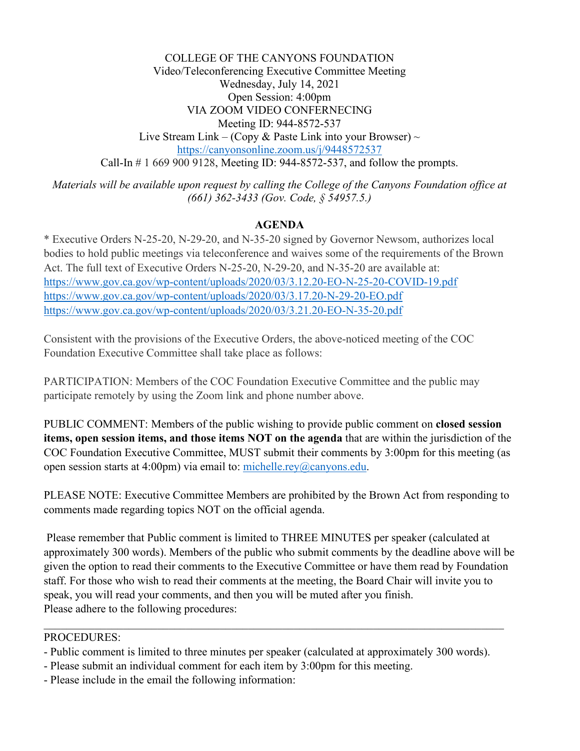COLLEGE OF THE CANYONS FOUNDATION Video/Teleconferencing Executive Committee Meeting Wednesday, July 14, 2021 Open Session: 4:00pm VIA ZOOM VIDEO CONFERNECING Meeting ID: 944-8572-537 Live Stream Link – (Copy & Paste Link into your Browser)  $\sim$ <https://canyonsonline.zoom.us/j/9448572537> Call-In # 1 669 900 9128, Meeting ID: 944-8572-537, and follow the prompts.

*Materials will be available upon request by calling the College of the Canyons Foundation office at (661) 362-3433 (Gov. Code, § 54957.5.)*

## **AGENDA**

\* Executive Orders N-25-20, N-29-20, and N-35-20 signed by Governor Newsom, authorizes local bodies to hold public meetings via teleconference and waives some of the requirements of the Brown Act. The full text of Executive Orders N-25-20, N-29-20, and N-35-20 are available at: <https://www.gov.ca.gov/wp-content/uploads/2020/03/3.12.20-EO-N-25-20-COVID-19.pdf> <https://www.gov.ca.gov/wp-content/uploads/2020/03/3.17.20-N-29-20-EO.pdf> <https://www.gov.ca.gov/wp-content/uploads/2020/03/3.21.20-EO-N-35-20.pdf>

Consistent with the provisions of the Executive Orders, the above-noticed meeting of the COC Foundation Executive Committee shall take place as follows:

PARTICIPATION: Members of the COC Foundation Executive Committee and the public may participate remotely by using the Zoom link and phone number above.

PUBLIC COMMENT: Members of the public wishing to provide public comment on **closed session items, open session items, and those items NOT on the agenda** that are within the jurisdiction of the COC Foundation Executive Committee, MUST submit their comments by 3:00pm for this meeting (as open session starts at 4:00pm) via email to: [michelle.rey@canyons.edu.](mailto:michelle.rey@canyons.edu)

PLEASE NOTE: Executive Committee Members are prohibited by the Brown Act from responding to comments made regarding topics NOT on the official agenda.

Please remember that Public comment is limited to THREE MINUTES per speaker (calculated at approximately 300 words). Members of the public who submit comments by the deadline above will be given the option to read their comments to the Executive Committee or have them read by Foundation staff. For those who wish to read their comments at the meeting, the Board Chair will invite you to speak, you will read your comments, and then you will be muted after you finish. Please adhere to the following procedures:

### PROCEDURES:

- Public comment is limited to three minutes per speaker (calculated at approximately 300 words).
- Please submit an individual comment for each item by 3:00pm for this meeting.
- Please include in the email the following information: